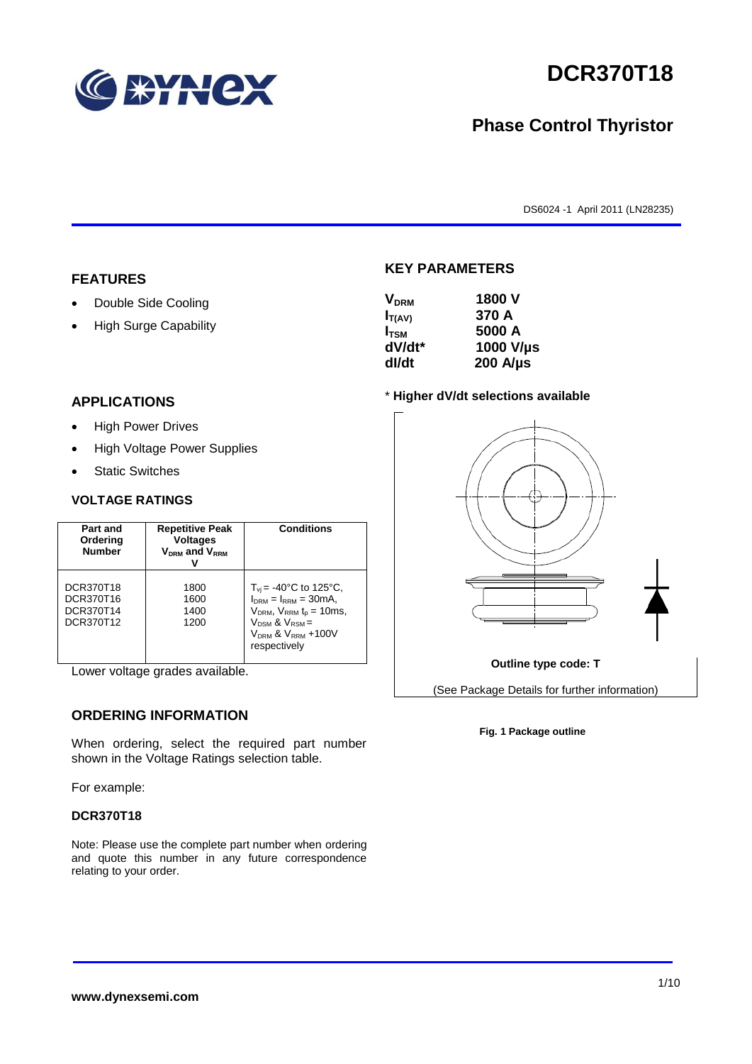

# **DCR370T18**

## **Phase Control Thyristor**

DS6024 -1 April 2011 (LN28235)

#### **FEATURES**

- Double Side Cooling
- High Surge Capability

#### **APPLICATIONS**

- High Power Drives
- High Voltage Power Supplies
- Static Switches

#### **VOLTAGE RATINGS**

| Part and<br>Ordering<br><b>Number</b>            | <b>Repetitive Peak</b><br><b>Voltages</b><br>$V_{DRM}$ and $V_{RRM}$ | <b>Conditions</b>                                                                                                                                                         |
|--------------------------------------------------|----------------------------------------------------------------------|---------------------------------------------------------------------------------------------------------------------------------------------------------------------------|
| DCR370T18<br>DCR370T16<br>DCR370T14<br>DCR370T12 | 1800<br>1600<br>1400<br>1200                                         | $T_{vi}$ = -40°C to 125°C,<br>$I_{DRM} = I_{RRM} = 30mA$ ,<br>$V_{DRM}$ , $V_{RRM}$ $t_{p} = 10$ ms,<br>$V_{DSM}$ & $V_{RSM}$ =<br>$VDRM$ & $VRRM + 100V$<br>respectively |

Lower voltage grades available.

### **ORDERING INFORMATION**

When ordering, select the required part number shown in the Voltage Ratings selection table.

For example:

#### **DCR370T18**

Note: Please use the complete part number when ordering and quote this number in any future correspondence relating to your order.

# **KEY PARAMETERS**

| 1800 V           |
|------------------|
| 370 A            |
| 5000 A           |
| 1000 V/µs        |
| $200$ A/ $\mu$ s |
|                  |

#### \* **Higher dV/dt selections available**



#### **Fig. 1 Package outline**

#### **www.dynexsemi.com**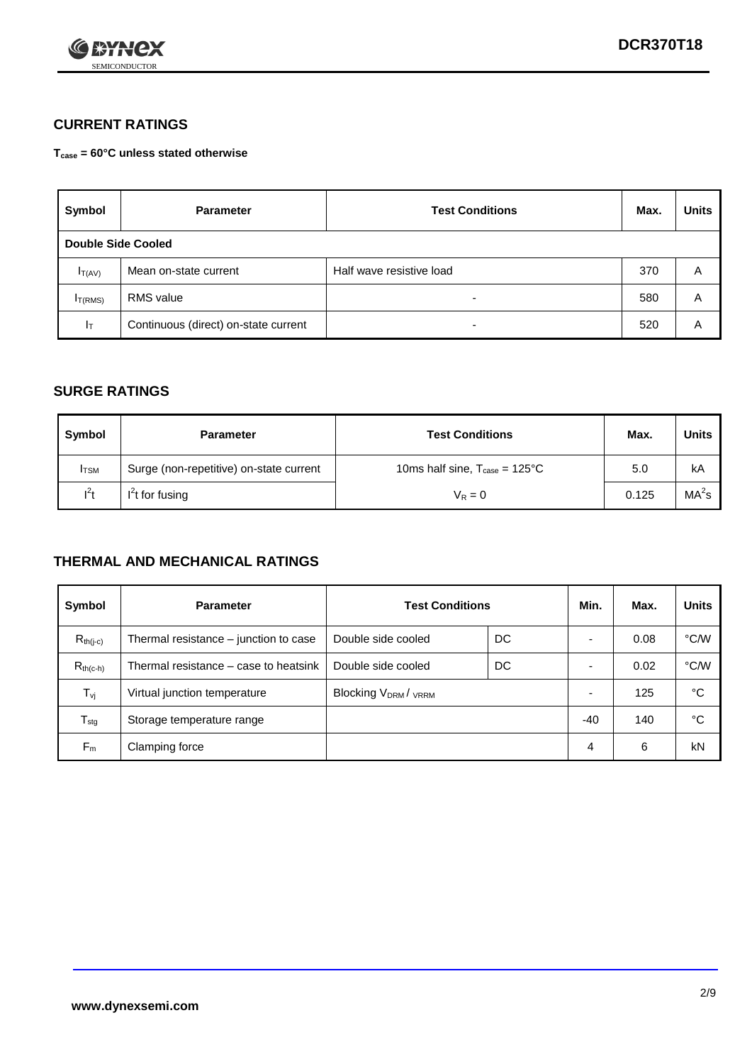

## **CURRENT RATINGS**

**Tcase = 60°C unless stated otherwise**

| Symbol             | <b>Parameter</b>                     | <b>Test Conditions</b>   | Max. | <b>Units</b> |
|--------------------|--------------------------------------|--------------------------|------|--------------|
| Double Side Cooled |                                      |                          |      |              |
| $I_{T(AV)}$        | Mean on-state current                | Half wave resistive load | 370  | A            |
| $I_{T(RMS)}$       | RMS value                            | $\overline{\phantom{a}}$ | 580  | Α            |
| Iт                 | Continuous (direct) on-state current | $\overline{\phantom{a}}$ | 520  | Α            |

#### **SURGE RATINGS**

| <b>Symbol</b> | <b>Parameter</b>                        | <b>Test Conditions</b>                           | Max.  | <b>Units</b>      |
|---------------|-----------------------------------------|--------------------------------------------------|-------|-------------------|
| <b>I</b> TSM  | Surge (non-repetitive) on-state current | 10ms half sine, $T_{\text{case}} = 125^{\circ}C$ | 5.0   | kA                |
| $l^2t$        | $I^2$ t for fusing                      | $V_R = 0$                                        | 0.125 | MA <sup>2</sup> s |

### **THERMAL AND MECHANICAL RATINGS**

| Symbol           | <b>Parameter</b>                      | <b>Test Conditions</b>    |    | Min.  | Max. | <b>Units</b> |
|------------------|---------------------------------------|---------------------------|----|-------|------|--------------|
| $R_{th(j-c)}$    | Thermal resistance – junction to case | Double side cooled        | DC |       | 0.08 | °C/W         |
| $R_{th(c-h)}$    | Thermal resistance – case to heatsink | Double side cooled        | DC |       | 0.02 | °C/W         |
| $T_{\nu j}$      | Virtual junction temperature          | <b>Blocking VDRM/VRRM</b> |    |       | 125  | °C           |
| $T_{\text{stg}}$ | Storage temperature range             |                           |    | $-40$ | 140  | °C           |
| $F_m$            | Clamping force                        |                           |    | 4     | 6    | kN           |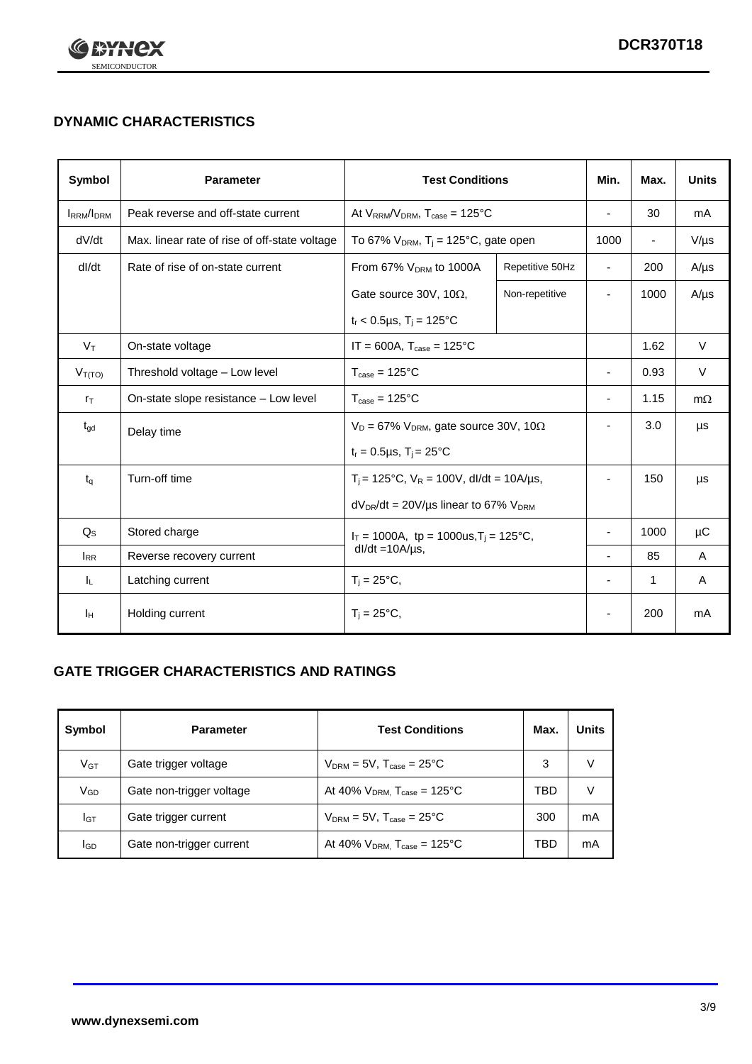

## **DYNAMIC CHARACTERISTICS**

| <b>Symbol</b>     | <b>Parameter</b>                                                  | <b>Test Conditions</b>                                       |                          | Min.                     | Max.                     | <b>Units</b> |
|-------------------|-------------------------------------------------------------------|--------------------------------------------------------------|--------------------------|--------------------------|--------------------------|--------------|
| <b>IRRM</b> /IDRM | Peak reverse and off-state current                                | At $V_{RRM}/V_{DRM}$ , $T_{case} = 125^{\circ}C$             |                          |                          | 30                       | mA           |
| dV/dt             | Max. linear rate of rise of off-state voltage                     | To 67% $V_{DRM}$ , T <sub>i</sub> = 125°C, gate open         |                          | 1000                     | $\overline{\phantom{a}}$ | $V/\mu s$    |
| dl/dt             | Rate of rise of on-state current                                  | From 67% V <sub>DRM</sub> to 1000A                           | Repetitive 50Hz          | $\overline{\phantom{a}}$ | 200                      | $A/\mu s$    |
|                   |                                                                   | Gate source 30V, 10 $\Omega$ ,                               | Non-repetitive           | $\overline{\phantom{a}}$ | 1000                     | $A/\mu s$    |
|                   |                                                                   | $t_r$ < 0.5µs, $T_i$ = 125°C                                 |                          |                          |                          |              |
| $V_T$             | On-state voltage                                                  | $IT = 600A$ , $T_{case} = 125^{\circ}C$                      |                          |                          | 1.62                     | $\vee$       |
| $V_{T(TO)}$       | Threshold voltage - Low level<br>$T_{\text{case}} = 125^{\circ}C$ |                                                              | $\blacksquare$           | 0.93                     | $\vee$                   |              |
| $r_{\text{T}}$    | On-state slope resistance - Low level                             | $T_{\text{case}} = 125^{\circ}C$                             |                          | $\overline{\phantom{a}}$ | 1.15                     | $m\Omega$    |
| $t_{\rm gd}$      | Delay time                                                        | $V_D = 67\%$ V <sub>DRM</sub> , gate source 30V, 10 $\Omega$ |                          | ٠                        | 3.0                      | μs           |
|                   |                                                                   | $t_r = 0.5 \mu s$ , $T_i = 25^{\circ}C$                      |                          |                          |                          |              |
| $t_q$             | Turn-off time                                                     | $T_i$ = 125°C, $V_R$ = 100V, dl/dt = 10A/µs,                 |                          | $\overline{\phantom{a}}$ | 150                      | μs           |
|                   |                                                                   | $dV_{DR}/dt = 20V/\mu s$ linear to 67% $V_{DRM}$             |                          |                          |                          |              |
| $Q_{\rm S}$       | Stored charge                                                     | $I_T = 1000A$ , tp = 1000us, $T_i = 125$ °C,                 |                          |                          | 1000                     | $\mu$ C      |
| $I_{RR}$          | $dl/dt = 10A/\mu s$ ,<br>Reverse recovery current                 |                                                              | $\overline{\phantom{a}}$ | 85                       | A                        |              |
| ΙL.               | Latching current                                                  | $T_i = 25^{\circ}C$ ,                                        |                          | $\overline{\phantom{a}}$ | 1                        | Α            |
| Iн                | Holding current                                                   | $T_i = 25^{\circ}C,$                                         |                          |                          | 200                      | mA           |

## **GATE TRIGGER CHARACTERISTICS AND RATINGS**

| Symbol          | <b>Parameter</b>         | <b>Test Conditions</b>                       | Max. | <b>Units</b> |
|-----------------|--------------------------|----------------------------------------------|------|--------------|
| V <sub>GT</sub> | Gate trigger voltage     | $V_{DRM}$ = 5V, $T_{case}$ = 25°C            | 3    | V            |
| $V_{GD}$        | Gate non-trigger voltage | At 40% $V_{DRM}$ , $T_{case}$ = 125°C        | TBD  | V            |
| Iст             | Gate trigger current     | $V_{DRM}$ = 5V, $T_{case}$ = 25°C            | 300  | mA           |
| lgp             | Gate non-trigger current | At 40% $V_{DRM}$ , $T_{case} = 125^{\circ}C$ | TBD  | mA           |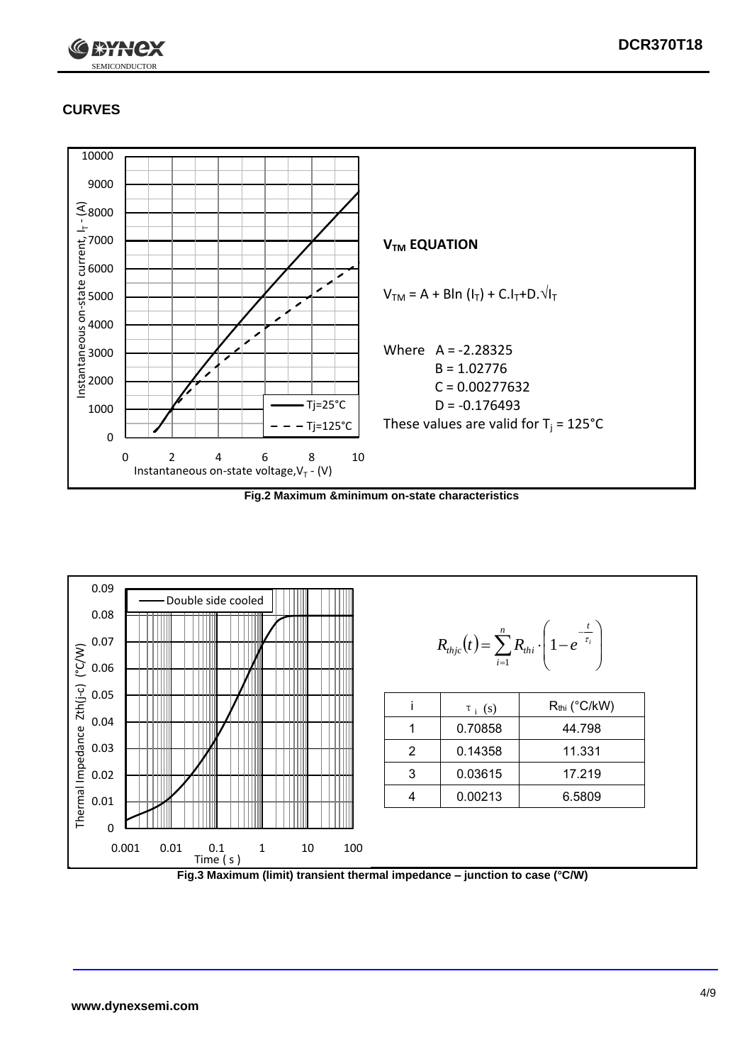

## **CURVES**



**Fig.2 Maximum &minimum on-state characteristics**



**Fig.3 Maximum (limit) transient thermal impedance – junction to case (°C/W)**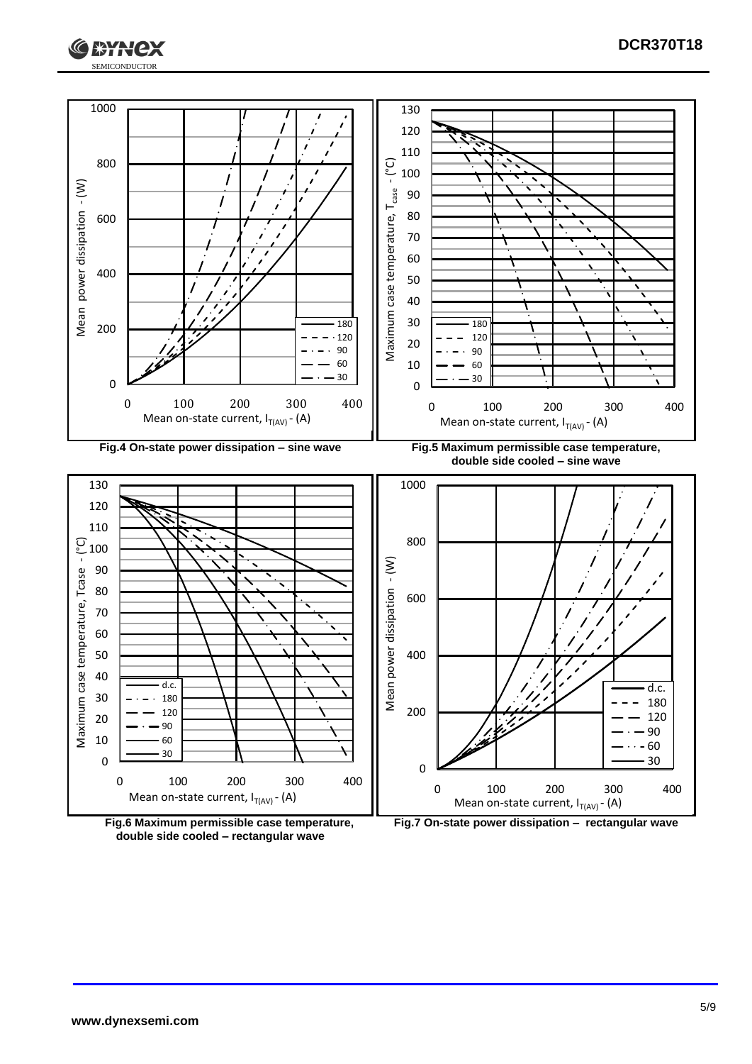





**double side cooled – rectangular wave**

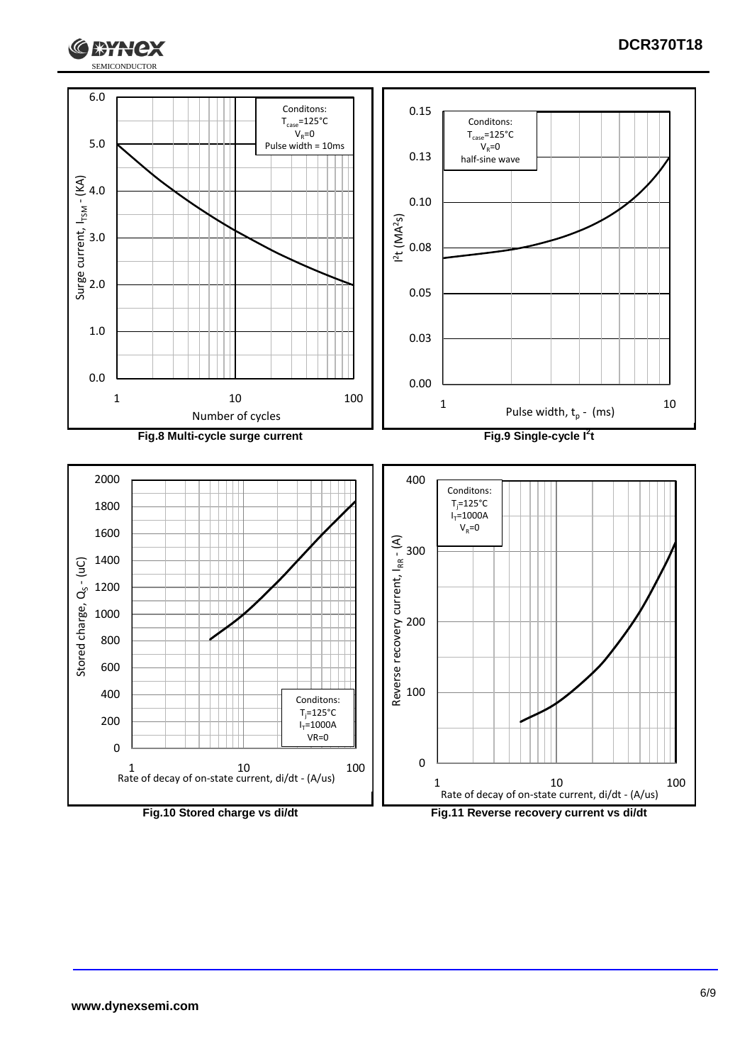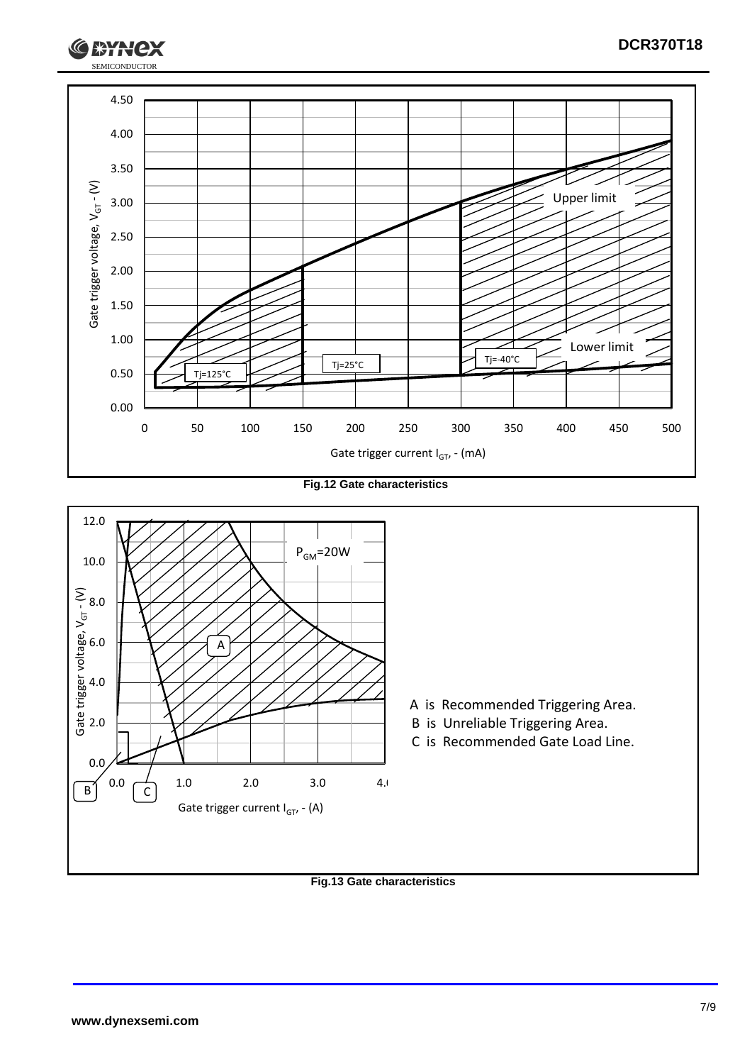

**Fig.12 Gate characteristics**



#### **Fig.13 Gate characteristics**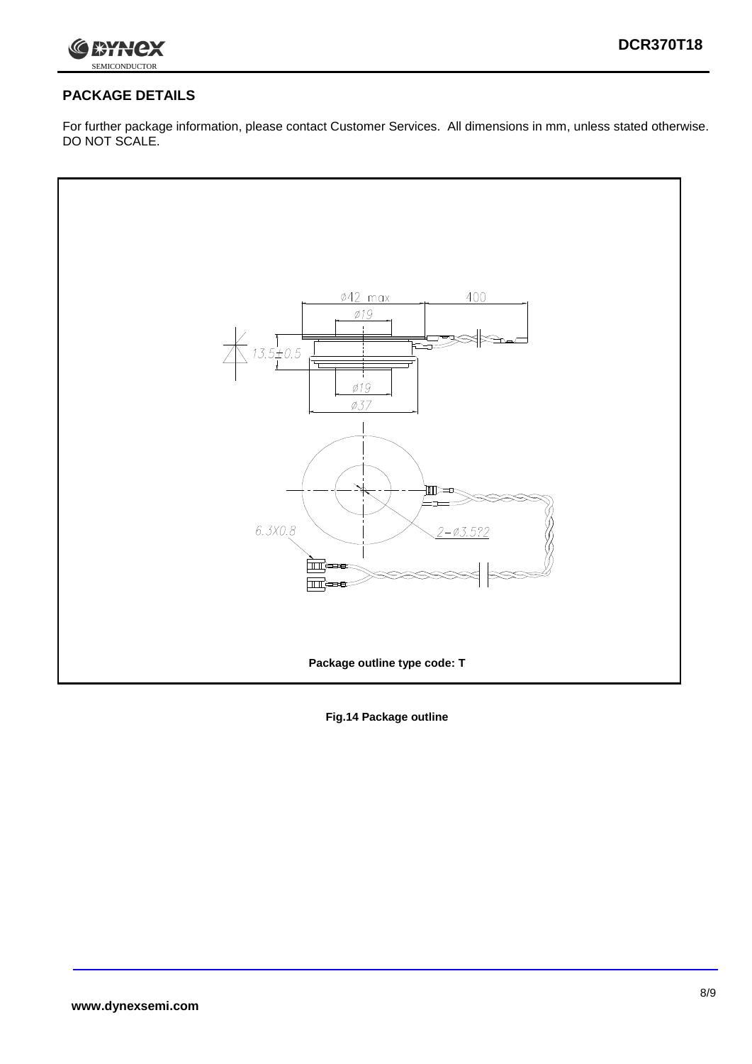

## **PACKAGE DETAILS**

For further package information, please contact Customer Services. All dimensions in mm, unless stated otherwise. DO NOT SCALE.



**Fig.14 Package outline**